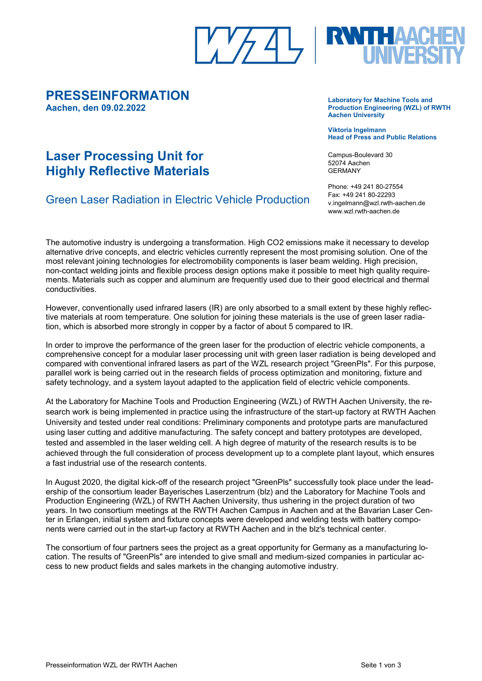### **PRESSEINFORMATION Aachen, den 09.02.2022**

## **Laser Processing Unit for Highly Reflective Materials**

## Green Laser Radiation in Electric Vehicle Production

The automotive industry is undergoing a transformation. High CO2 emissions make it necessary to develop alternative drive concepts, and electric vehicles currently represent the most promising solution. One of the most relevant joining technologies for electromobility components is laser beam welding. High precision, non-contact welding joints and flexible process design options make it possible to meet high quality requirements. Materials such as copper and aluminum are frequently used due to their good electrical and thermal conductivities.

However, conventionally used infrared lasers (IR) are only absorbed to a small extent by these highly reflective materials at room temperature. One solution for joining these materials is the use of green laser radiation, which is absorbed more strongly in copper by a factor of about 5 compared to IR.

In order to improve the performance of the green laser for the production of electric vehicle components, a comprehensive concept for a modular laser processing unit with green laser radiation is being developed and compared with conventional infrared lasers as part of the WZL research project "GreenPls". For this purpose, parallel work is being carried out in the research fields of process optimization and monitoring, fixture and safety technology, and a system layout adapted to the application field of electric vehicle components.

At the Laboratory for Machine Tools and Production Engineering (WZL) of RWTH Aachen University, the research work is being implemented in practice using the infrastructure of the start-up factory at RWTH Aachen University and tested under real conditions: Preliminary components and prototype parts are manufactured using laser cutting and additive manufacturing. The safety concept and battery prototypes are developed, tested and assembled in the laser welding cell. A high degree of maturity of the research results is to be achieved through the full consideration of process development up to a complete plant layout, which ensures a fast industrial use of the research contents.

In August 2020, the digital kick-off of the research project "GreenPls" successfully took place under the leadership of the consortium leader Bayerisches Laserzentrum (blz) and the Laboratory for Machine Tools and Production Engineering (WZL) of RWTH Aachen University, thus ushering in the project duration of two years. In two consortium meetings at the RWTH Aachen Campus in Aachen and at the Bavarian Laser Center in Erlangen, initial system and fixture concepts were developed and welding tests with battery components were carried out in the start-up factory at RWTH Aachen and in the blz's technical center.

The consortium of four partners sees the project as a great opportunity for Germany as a manufacturing location. The results of "GreenPls" are intended to give small and medium-sized companies in particular access to new product fields and sales markets in the changing automotive industry.



**Laboratory for Machine Tools and Production Engineering (WZL) of RWTH Aachen University** 

**Viktoria Ingelmann Head of Press and Public Relations**

Campus-Boulevard 30 52074 Aachen GERMANY

Phone: +49 241 80-27554 Fax: +49 241 80-22293 v.ingelmann@wzl.rwth-aachen.de www.wzl.rwth-aachen.de

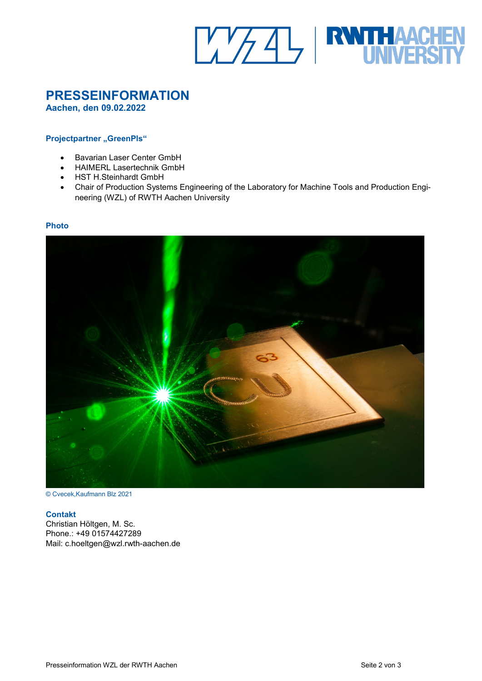

# **PRESSEINFORMATION**

**Aachen, den 09.02.2022**

#### **Projectpartner** "GreenPls"

- Bavarian Laser Center GmbH
- HAIMERL Lasertechnik GmbH
- HST H.Steinhardt GmbH
- Chair of Production Systems Engineering of the Laboratory for Machine Tools and Production Engineering (WZL) of RWTH Aachen University

#### **Photo**



© Cvecek,Kaufmann Blz 2021

#### **Contakt**

Christian Höltgen, M. Sc. Phone.: +49 01574427289 Mail: c.hoeltgen@wzl.rwth-aachen.de